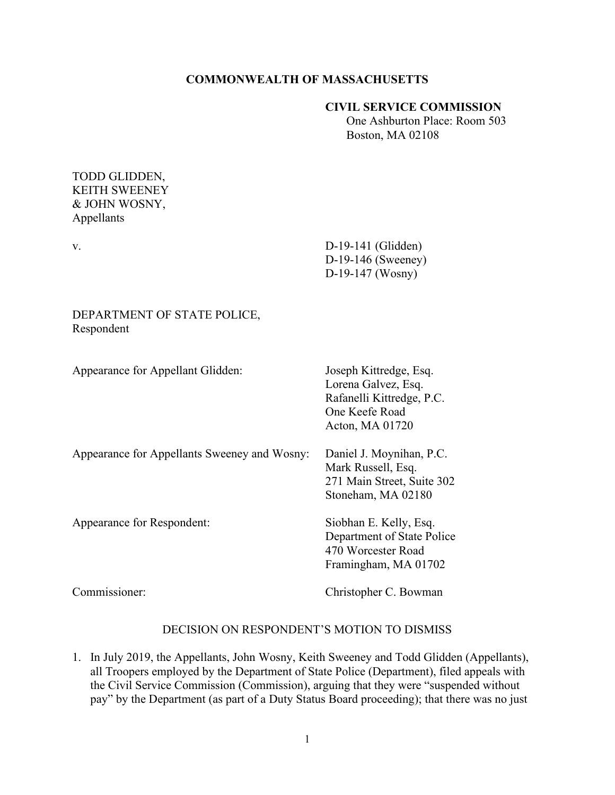## **COMMONWEALTH OF MASSACHUSETTS**

### **CIVIL SERVICE COMMISSION**

 One Ashburton Place: Room 503 Boston, MA 02108

## TODD GLIDDEN, KEITH SWEENEY & JOHN WOSNY, Appellants

v. D-19-141 (Glidden) D-19-146 (Sweeney) D-19-147 (Wosny)

# DEPARTMENT OF STATE POLICE, Respondent

| Appearance for Appellant Glidden:            | Joseph Kittredge, Esq.<br>Lorena Galvez, Esq.<br>Rafanelli Kittredge, P.C.<br>One Keefe Road<br>Acton, MA 01720 |
|----------------------------------------------|-----------------------------------------------------------------------------------------------------------------|
| Appearance for Appellants Sweeney and Wosny: | Daniel J. Moynihan, P.C.<br>Mark Russell, Esq.<br>271 Main Street, Suite 302<br>Stoneham, MA 02180              |
| Appearance for Respondent:                   | Siobhan E. Kelly, Esq.<br>Department of State Police<br>470 Worcester Road<br>Framingham, MA 01702              |
| Commissioner:                                | Christopher C. Bowman                                                                                           |

## DECISION ON RESPONDENT'S MOTION TO DISMISS

1. In July 2019, the Appellants, John Wosny, Keith Sweeney and Todd Glidden (Appellants), all Troopers employed by the Department of State Police (Department), filed appeals with the Civil Service Commission (Commission), arguing that they were "suspended without pay" by the Department (as part of a Duty Status Board proceeding); that there was no just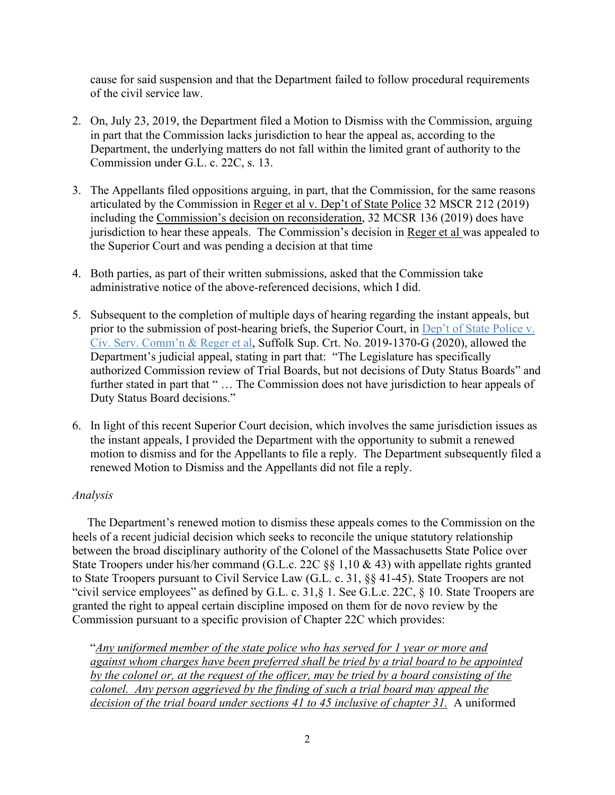cause for said suspension and that the Department failed to follow procedural requirements of the civil service law.

- 2. On, July 23, 2019, the Department filed a Motion to Dismiss with the Commission, arguing in part that the Commission lacks jurisdiction to hear the appeal as, according to the Department, the underlying matters do not fall within the limited grant of authority to the Commission under G.L. c. 22C, s. 13.
- 3. The Appellants filed oppositions arguing, in part, that the Commission, for the same reasons articulated by the Commission in [Reger et al v. Dep't of State Police](https://www.mass.gov/files/documents/2019/03/28/Reger_Crespi_Adams_Russell_032819_1.pdf) 32 MSCR 212 (2019) including the [Commission's decision on reconsideration,](https://www.mass.gov/files/documents/2019/05/09/Reger_Crespi_Adams_Russell_050919.pdf) 32 MCSR 136 (2019) does have jurisdiction to hear these appeals. The Commission's decision in Reger et al was appealed to the Superior Court and was pending a decision at that time
- 4. Both parties, as part of their written submissions, asked that the Commission take administrative notice of the above-referenced decisions, which I did.
- 5. Subsequent to the completion of multiple days of hearing regarding the instant appeals, but prior to the submission of post-hearing briefs, the Superior Court, in Dep't of State Police v. [Civ. Serv. Comm'n & Reger et al,](https://www.mass.gov/doc/reger-crespi-adams-russell-v-department-of-state-police-related-superior-court-decision-52820/download) Suffolk Sup. Crt. No. 2019-1370-G (2020), allowed the Department's judicial appeal, stating in part that: "The Legislature has specifically authorized Commission review of Trial Boards, but not decisions of Duty Status Boards" and further stated in part that "... The Commission does not have jurisdiction to hear appeals of Duty Status Board decisions."
- 6. In light of this recent Superior Court decision, which involves the same jurisdiction issues as the instant appeals, I provided the Department with the opportunity to submit a renewed motion to dismiss and for the Appellants to file a reply. The Department subsequently filed a renewed Motion to Dismiss and the Appellants did not file a reply.

## *Analysis*

 The Department's renewed motion to dismiss these appeals comes to the Commission on the heels of a recent judicial decision which seeks to reconcile the unique statutory relationship between the broad disciplinary authority of the Colonel of the Massachusetts State Police over State Troopers under his/her command (G.L.c. 22C §§ 1,10 & 43) with appellate rights granted to State Troopers pursuant to Civil Service Law (G.L. c. 31, §§ 41-45). State Troopers are not "civil service employees" as defined by G.L. c. 31,§ 1. See G.L.c. 22C, § 10. State Troopers are granted the right to appeal certain discipline imposed on them for de novo review by the Commission pursuant to a specific provision of Chapter 22C which provides:

"*Any uniformed member of the state police who has served for 1 year or more and against whom charges have been preferred shall be tried by a trial board to be appointed by the colonel or, at the request of the officer, may be tried by a board consisting of the colonel. Any person aggrieved by the finding of such a trial board may appeal the decision of the trial board under sections 41 to 45 inclusive of chapter 31.* A uniformed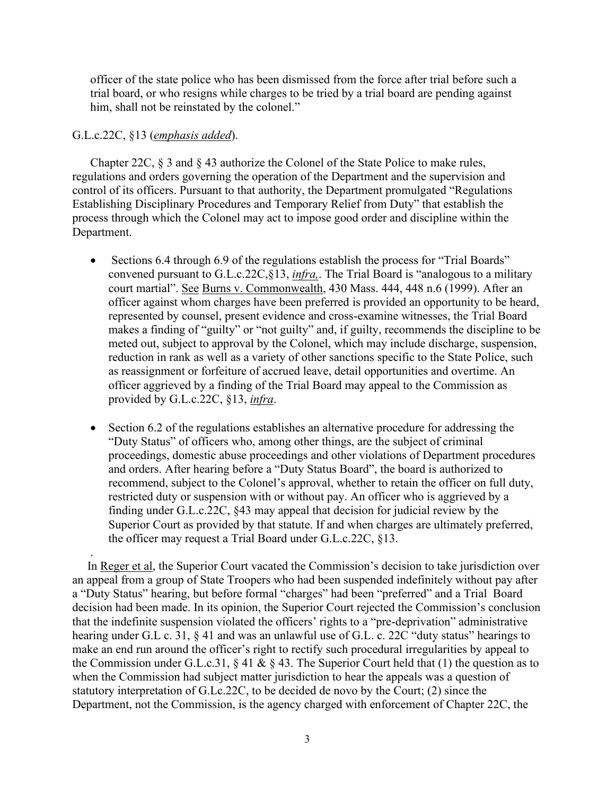officer of the state police who has been dismissed from the force after trial before such a trial board, or who resigns while charges to be tried by a trial board are pending against him, shall not be reinstated by the colonel."

### G.L.c.22C, §13 (*emphasis added*).

.

Chapter 22C, § 3 and § 43 authorize the Colonel of the State Police to make rules, regulations and orders governing the operation of the Department and the supervision and control of its officers. Pursuant to that authority, the Department promulgated "Regulations Establishing Disciplinary Procedures and Temporary Relief from Duty" that establish the process through which the Colonel may act to impose good order and discipline within the Department.

- Sections 6.4 through 6.9 of the regulations establish the process for "Trial Boards" convened pursuant to G.L.c.22C,§13, *infra,*. The Trial Board is "analogous to a military court martial". See Burns v. Commonwealth, 430 Mass. 444, 448 n.6 (1999). After an officer against whom charges have been preferred is provided an opportunity to be heard, represented by counsel, present evidence and cross-examine witnesses, the Trial Board makes a finding of "guilty" or "not guilty" and, if guilty, recommends the discipline to be meted out, subject to approval by the Colonel, which may include discharge, suspension, reduction in rank as well as a variety of other sanctions specific to the State Police, such as reassignment or forfeiture of accrued leave, detail opportunities and overtime. An officer aggrieved by a finding of the Trial Board may appeal to the Commission as provided by G.L.c.22C, §13, *infra*.
- Section 6.2 of the regulations establishes an alternative procedure for addressing the "Duty Status" of officers who, among other things, are the subject of criminal proceedings, domestic abuse proceedings and other violations of Department procedures and orders. After hearing before a "Duty Status Board", the board is authorized to recommend, subject to the Colonel's approval, whether to retain the officer on full duty, restricted duty or suspension with or without pay. An officer who is aggrieved by a finding under G.L.c.22C, §43 may appeal that decision for judicial review by the Superior Court as provided by that statute. If and when charges are ultimately preferred, the officer may request a Trial Board under G.L.c.22C, §13.

 In Reger et al, the Superior Court vacated the Commission's decision to take jurisdiction over an appeal from a group of State Troopers who had been suspended indefinitely without pay after a "Duty Status" hearing, but before formal "charges" had been "preferred" and a Trial Board decision had been made. In its opinion, the Superior Court rejected the Commission's conclusion that the indefinite suspension violated the officers' rights to a "pre-deprivation" administrative hearing under G.L c. 31, § 41 and was an unlawful use of G.L. c. 22C "duty status" hearings to make an end run around the officer's right to rectify such procedural irregularities by appeal to the Commission under G.L.c.31,  $\S 41 \& \S 43$ . The Superior Court held that (1) the question as to when the Commission had subject matter jurisdiction to hear the appeals was a question of statutory interpretation of G.Lc.22C, to be decided de novo by the Court; (2) since the Department, not the Commission, is the agency charged with enforcement of Chapter 22C, the